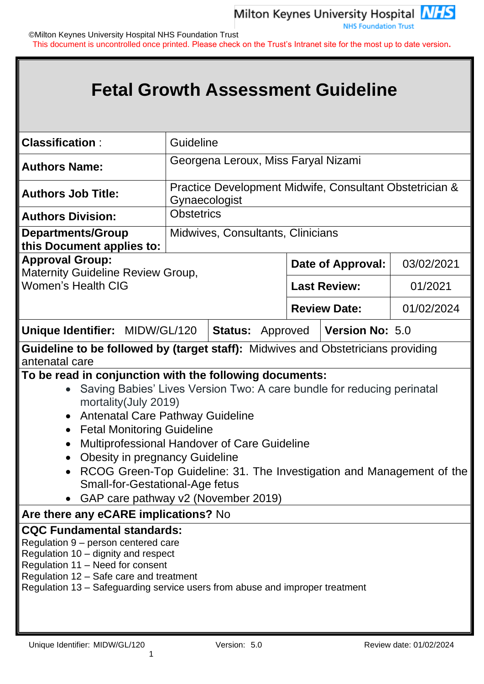©Milton Keynes University Hospital NHS Foundation Trust This document is uncontrolled once printed. Please check on the Trust's Intranet site for the most up to date version**.**

# **Fetal Growth Assessment Guideline**

| <b>Classification:</b>                                                                                                                                                                                                                                                                                                                                                                                                                                                                                                                                                                                                                                                                                                                                                                                                                                                                                  | <b>Guideline</b>  |                                                                          |  |                     |            |  |
|---------------------------------------------------------------------------------------------------------------------------------------------------------------------------------------------------------------------------------------------------------------------------------------------------------------------------------------------------------------------------------------------------------------------------------------------------------------------------------------------------------------------------------------------------------------------------------------------------------------------------------------------------------------------------------------------------------------------------------------------------------------------------------------------------------------------------------------------------------------------------------------------------------|-------------------|--------------------------------------------------------------------------|--|---------------------|------------|--|
| Georgena Leroux, Miss Faryal Nizami<br><b>Authors Name:</b>                                                                                                                                                                                                                                                                                                                                                                                                                                                                                                                                                                                                                                                                                                                                                                                                                                             |                   |                                                                          |  |                     |            |  |
| <b>Authors Job Title:</b>                                                                                                                                                                                                                                                                                                                                                                                                                                                                                                                                                                                                                                                                                                                                                                                                                                                                               |                   | Practice Development Midwife, Consultant Obstetrician &<br>Gynaecologist |  |                     |            |  |
| <b>Authors Division:</b>                                                                                                                                                                                                                                                                                                                                                                                                                                                                                                                                                                                                                                                                                                                                                                                                                                                                                | <b>Obstetrics</b> |                                                                          |  |                     |            |  |
| <b>Departments/Group</b><br>this Document applies to:                                                                                                                                                                                                                                                                                                                                                                                                                                                                                                                                                                                                                                                                                                                                                                                                                                                   |                   | Midwives, Consultants, Clinicians                                        |  |                     |            |  |
| <b>Approval Group:</b><br><b>Maternity Guideline Review Group,</b>                                                                                                                                                                                                                                                                                                                                                                                                                                                                                                                                                                                                                                                                                                                                                                                                                                      |                   |                                                                          |  | Date of Approval:   | 03/02/2021 |  |
| <b>Women's Health CIG</b>                                                                                                                                                                                                                                                                                                                                                                                                                                                                                                                                                                                                                                                                                                                                                                                                                                                                               |                   |                                                                          |  | <b>Last Review:</b> | 01/2021    |  |
|                                                                                                                                                                                                                                                                                                                                                                                                                                                                                                                                                                                                                                                                                                                                                                                                                                                                                                         |                   |                                                                          |  | <b>Review Date:</b> | 01/02/2024 |  |
| Unique Identifier: MIDW/GL/120                                                                                                                                                                                                                                                                                                                                                                                                                                                                                                                                                                                                                                                                                                                                                                                                                                                                          |                   | <b>Status: Approved</b>                                                  |  | Version No: 5.0     |            |  |
| Guideline to be followed by (target staff): Midwives and Obstetricians providing<br>antenatal care                                                                                                                                                                                                                                                                                                                                                                                                                                                                                                                                                                                                                                                                                                                                                                                                      |                   |                                                                          |  |                     |            |  |
| To be read in conjunction with the following documents:<br>Saving Babies' Lives Version Two: A care bundle for reducing perinatal<br>$\bullet$<br>mortality (July 2019)<br><b>Antenatal Care Pathway Guideline</b><br>$\bullet$<br><b>Fetal Monitoring Guideline</b><br>$\bullet$<br>Multiprofessional Handover of Care Guideline<br>$\bullet$<br><b>Obesity in pregnancy Guideline</b><br>$\bullet$<br>RCOG Green-Top Guideline: 31. The Investigation and Management of the<br>$\bullet$<br><b>Small-for-Gestational-Age fetus</b><br>• GAP care pathway v2 (November 2019)<br>Are there any eCARE implications? No<br><b>CQC Fundamental standards:</b><br>Regulation 9 – person centered care<br>Regulation 10 – dignity and respect<br>Regulation 11 - Need for consent<br>Regulation 12 - Safe care and treatment<br>Regulation 13 - Safeguarding service users from abuse and improper treatment |                   |                                                                          |  |                     |            |  |

1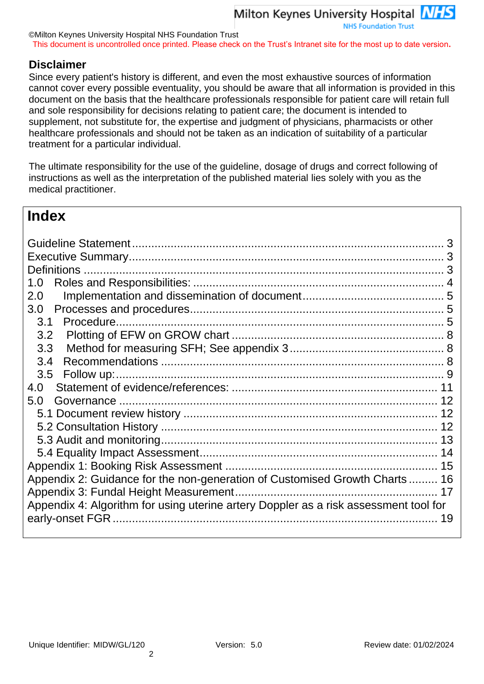©Milton Keynes University Hospital NHS Foundation Trust This document is uncontrolled once printed. Please check on the Trust's Intranet site for the most up to date version**.**

## **Disclaimer**

Since every patient's history is different, and even the most exhaustive sources of information cannot cover every possible eventuality, you should be aware that all information is provided in this document on the basis that the healthcare professionals responsible for patient care will retain full and sole responsibility for decisions relating to patient care; the document is intended to supplement, not substitute for, the expertise and judgment of physicians, pharmacists or other healthcare professionals and should not be taken as an indication of suitability of a particular treatment for a particular individual.

The ultimate responsibility for the use of the guideline, dosage of drugs and correct following of instructions as well as the interpretation of the published material lies solely with you as the medical practitioner.

## **Index**

| <b>Definitions</b>                                                                   |    |
|--------------------------------------------------------------------------------------|----|
| 1.0                                                                                  |    |
| 2.0                                                                                  |    |
| 3.0                                                                                  |    |
| Procedure.<br>3.1                                                                    |    |
| 3.2                                                                                  |    |
| 3.3                                                                                  |    |
| 3.4                                                                                  |    |
| 3.5                                                                                  |    |
| 4.0                                                                                  |    |
| 5.0                                                                                  |    |
|                                                                                      |    |
|                                                                                      |    |
|                                                                                      |    |
|                                                                                      |    |
|                                                                                      | 15 |
| Appendix 2: Guidance for the non-generation of Customised Growth Charts  16          |    |
|                                                                                      |    |
| Appendix 4: Algorithm for using uterine artery Doppler as a risk assessment tool for |    |
|                                                                                      | 19 |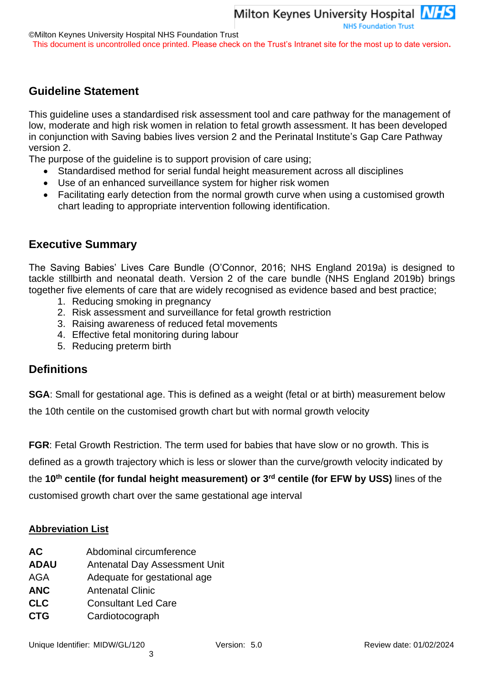## <span id="page-2-0"></span>**Guideline Statement**

This guideline uses a standardised risk assessment tool and care pathway for the management of low, moderate and high risk women in relation to fetal growth assessment. It has been developed in conjunction with Saving babies lives version 2 and the Perinatal Institute's Gap Care Pathway version 2.

The purpose of the guideline is to support provision of care using;

- Standardised method for serial fundal height measurement across all disciplines
- Use of an enhanced surveillance system for higher risk women
- Facilitating early detection from the normal growth curve when using a customised growth chart leading to appropriate intervention following identification.

## <span id="page-2-1"></span>**Executive Summary**

The Saving Babies' Lives Care Bundle (O'Connor, 2016; NHS England 2019a) is designed to tackle stillbirth and neonatal death. Version 2 of the care bundle (NHS England 2019b) brings together five elements of care that are widely recognised as evidence based and best practice;

- 1. Reducing smoking in pregnancy
- 2. Risk assessment and surveillance for fetal growth restriction
- 3. Raising awareness of reduced fetal movements
- 4. Effective fetal monitoring during labour
- 5. Reducing preterm birth

## <span id="page-2-2"></span>**Definitions**

**SGA**: Small for gestational age. This is defined as a weight (fetal or at birth) measurement below the 10th centile on the customised growth chart but with normal growth velocity

**FGR**: Fetal Growth Restriction. The term used for babies that have slow or no growth. This is

defined as a growth trajectory which is less or slower than the curve/growth velocity indicated by

the **10th centile (for fundal height measurement) or 3rd centile (for EFW by USS)** lines of the

customised growth chart over the same gestational age interval

### **Abbreviation List**

- **AC** Abdominal circumference
- **ADAU** Antenatal Day Assessment Unit
- AGA Adequate for gestational age
- **ANC** Antenatal Clinic
- **CLC** Consultant Led Care
- **CTG** Cardiotocograph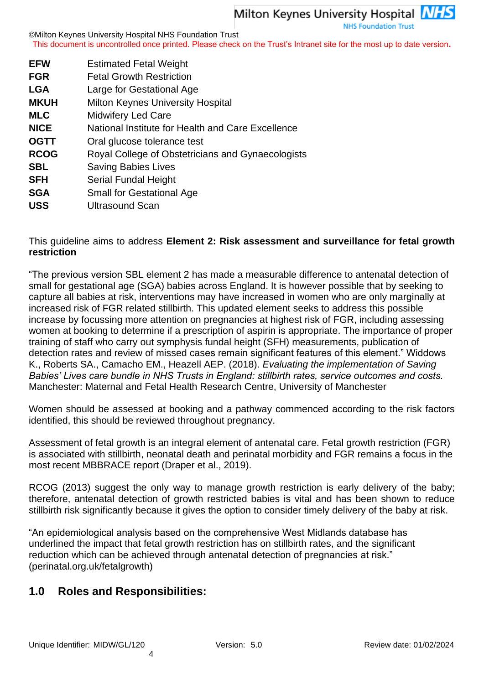©Milton Keynes University Hospital NHS Foundation Trust This document is uncontrolled once printed. Please check on the Trust's Intranet site for the most up to date version**.**

| <b>EFW</b>  | <b>Estimated Fetal Weight</b>                     |
|-------------|---------------------------------------------------|
| <b>FGR</b>  | <b>Fetal Growth Restriction</b>                   |
| <b>LGA</b>  | Large for Gestational Age                         |
| <b>MKUH</b> | <b>Milton Keynes University Hospital</b>          |
| <b>MLC</b>  | <b>Midwifery Led Care</b>                         |
| <b>NICE</b> | National Institute for Health and Care Excellence |
| <b>OGTT</b> | Oral glucose tolerance test                       |
| <b>RCOG</b> | Royal College of Obstetricians and Gynaecologists |
| <b>SBL</b>  | <b>Saving Babies Lives</b>                        |
| <b>SFH</b>  | Serial Fundal Height                              |
| <b>SGA</b>  | <b>Small for Gestational Age</b>                  |
| .           |                                                   |

**USS** Ultrasound Scan

## This guideline aims to address **Element 2: Risk assessment and surveillance for fetal growth restriction**

"The previous version SBL element 2 has made a measurable difference to antenatal detection of small for gestational age (SGA) babies across England. It is however possible that by seeking to capture all babies at risk, interventions may have increased in women who are only marginally at increased risk of FGR related stillbirth. This updated element seeks to address this possible increase by focussing more attention on pregnancies at highest risk of FGR, including assessing women at booking to determine if a prescription of aspirin is appropriate. The importance of proper training of staff who carry out symphysis fundal height (SFH) measurements, publication of detection rates and review of missed cases remain significant features of this element." Widdows K., Roberts SA., Camacho EM., Heazell AEP. (2018). *Evaluating the implementation of Saving Babies' Lives care bundle in NHS Trusts in England: stillbirth rates, service outcomes and costs.*  Manchester: Maternal and Fetal Health Research Centre, University of Manchester

Women should be assessed at booking and a pathway commenced according to the risk factors identified, this should be reviewed throughout pregnancy.

Assessment of fetal growth is an integral element of antenatal care. Fetal growth restriction (FGR) is associated with stillbirth, neonatal death and perinatal morbidity and FGR remains a focus in the most recent MBBRACE report (Draper et al., 2019).

RCOG (2013) suggest the only way to manage growth restriction is early delivery of the baby; therefore, antenatal detection of growth restricted babies is vital and has been shown to reduce stillbirth risk significantly because it gives the option to consider timely delivery of the baby at risk.

"An epidemiological analysis based on the comprehensive West Midlands database has underlined the impact that fetal growth restriction has on stillbirth rates, and the significant reduction which can be achieved through antenatal detection of pregnancies at risk." (perinatal.org.uk/fetalgrowth)

## <span id="page-3-0"></span>**1.0 Roles and Responsibilities:**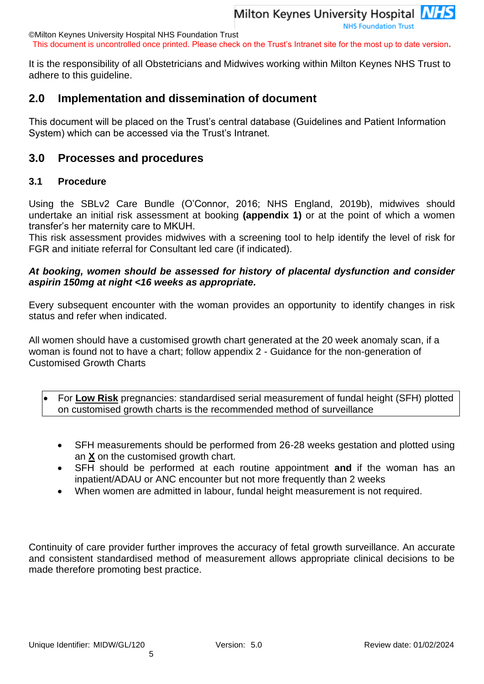**NHS Foundation Trust** 

©Milton Keynes University Hospital NHS Foundation Trust This document is uncontrolled once printed. Please check on the Trust's Intranet site for the most up to date version**.**

It is the responsibility of all Obstetricians and Midwives working within Milton Keynes NHS Trust to adhere to this guideline.

# <span id="page-4-0"></span>**2.0 Implementation and dissemination of document**

This document will be placed on the Trust's central database (Guidelines and Patient Information System) which can be accessed via the Trust's Intranet.

# <span id="page-4-1"></span>**3.0 Processes and procedures**

## <span id="page-4-2"></span>**3.1 Procedure**

Using the SBLv2 Care Bundle (O'Connor, 2016; NHS England, 2019b), midwives should undertake an initial risk assessment at booking **(appendix 1)** or at the point of which a women transfer's her maternity care to MKUH.

This risk assessment provides midwives with a screening tool to help identify the level of risk for FGR and initiate referral for Consultant led care (if indicated).

## *At booking, women should be assessed for history of placental dysfunction and consider aspirin 150mg at night <16 weeks as appropriate.*

Every subsequent encounter with the woman provides an opportunity to identify changes in risk status and refer when indicated.

All women should have a customised growth chart generated at the 20 week anomaly scan, if a woman is found not to have a chart; follow appendix 2 - Guidance for the non-generation of Customised Growth Charts

• For **Low Risk** pregnancies: standardised serial measurement of fundal height (SFH) plotted on customised growth charts is the recommended method of surveillance

- SFH measurements should be performed from 26-28 weeks gestation and plotted using an **X** on the customised growth chart.
- SFH should be performed at each routine appointment **and** if the woman has an inpatient/ADAU or ANC encounter but not more frequently than 2 weeks
- When women are admitted in labour, fundal height measurement is not required.

Continuity of care provider further improves the accuracy of fetal growth surveillance. An accurate and consistent standardised method of measurement allows appropriate clinical decisions to be made therefore promoting best practice.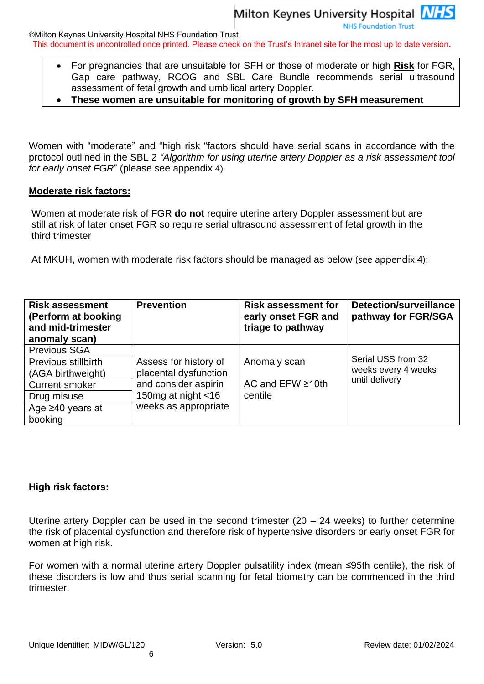**NHS Foundation Trust** 

©Milton Keynes University Hospital NHS Foundation Trust

This document is uncontrolled once printed. Please check on the Trust's Intranet site for the most up to date version**.**

- For pregnancies that are unsuitable for SFH or those of moderate or high **Risk** for FGR, Gap care pathway, RCOG and SBL Care Bundle recommends serial ultrasound assessment of fetal growth and umbilical artery Doppler.
- **These women are unsuitable for monitoring of growth by SFH measurement**

Women with "moderate" and "high risk "factors should have serial scans in accordance with the protocol outlined in the SBL 2 *"Algorithm for using uterine artery Doppler as a risk assessment tool for early onset FGR*" (please see appendix 4).

#### **Moderate risk factors:**

Women at moderate risk of FGR **do not** require uterine artery Doppler assessment but are still at risk of later onset FGR so require serial ultrasound assessment of fetal growth in the third trimester

At MKUH, women with moderate risk factors should be managed as below (see appendix 4):

| <b>Risk assessment</b><br>(Perform at booking<br>and mid-trimester<br>anomaly scan) | <b>Prevention</b>     | <b>Risk assessment for</b><br>early onset FGR and<br>triage to pathway | <b>Detection/surveillance</b><br>pathway for FGR/SGA |
|-------------------------------------------------------------------------------------|-----------------------|------------------------------------------------------------------------|------------------------------------------------------|
| <b>Previous SGA</b><br>Previous stillbirth                                          | Assess for history of | Anomaly scan                                                           | Serial USS from 32                                   |
| (AGA birthweight)                                                                   | placental dysfunction |                                                                        | weeks every 4 weeks                                  |
| <b>Current smoker</b>                                                               | and consider aspirin  | AC and $EFW \ge 10$ th                                                 | until delivery                                       |
| Drug misuse                                                                         | 150mg at night <16    | centile                                                                |                                                      |
| Age $\geq 40$ years at                                                              | weeks as appropriate  |                                                                        |                                                      |
| booking                                                                             |                       |                                                                        |                                                      |

### **High risk factors:**

Uterine artery Doppler can be used in the second trimester (20 – 24 weeks) to further determine the risk of placental dysfunction and therefore risk of hypertensive disorders or early onset FGR for women at high risk.

For women with a normal uterine artery Doppler pulsatility index (mean ≤95th centile), the risk of these disorders is low and thus serial scanning for fetal biometry can be commenced in the third trimester.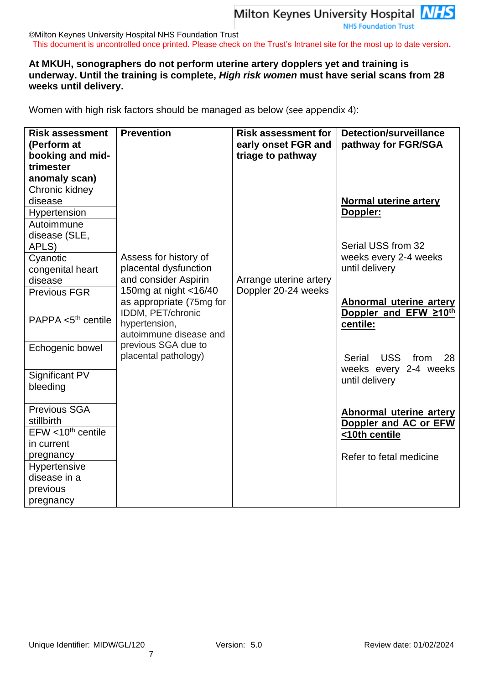**NHS Foundation Trust** 

#### ©Milton Keynes University Hospital NHS Foundation Trust This document is uncontrolled once printed. Please check on the Trust's Intranet site for the most up to date version**.**

### **At MKUH, sonographers do not perform uterine artery dopplers yet and training is underway. Until the training is complete,** *High risk women* **must have serial scans from 28 weeks until delivery.**

Women with high risk factors should be managed as below (see appendix 4):

| <b>Risk assessment</b><br>(Perform at<br>booking and mid-<br>trimester<br>anomaly scan) | <b>Prevention</b>                                                      | <b>Risk assessment for</b><br>early onset FGR and<br>triage to pathway | <b>Detection/surveillance</b><br>pathway for FGR/SGA    |
|-----------------------------------------------------------------------------------------|------------------------------------------------------------------------|------------------------------------------------------------------------|---------------------------------------------------------|
| Chronic kidney<br>disease                                                               |                                                                        |                                                                        | <b>Normal uterine artery</b>                            |
| Hypertension<br>Autoimmune<br>disease (SLE,<br>APLS)                                    |                                                                        |                                                                        | Doppler:<br>Serial USS from 32                          |
| Cyanotic<br>congenital heart<br>disease                                                 | Assess for history of<br>placental dysfunction<br>and consider Aspirin | Arrange uterine artery                                                 | weeks every 2-4 weeks<br>until delivery                 |
| Previous FGR                                                                            | 150mg at night <16/40<br>as appropriate (75mg for<br>IDDM, PET/chronic | Doppler 20-24 weeks                                                    | <b>Abnormal uterine artery</b><br>Doppler and EFW ≥10th |
| PAPPA $<$ 5 <sup>th</sup> centile                                                       | hypertension,<br>autoimmune disease and                                |                                                                        | centile:                                                |
| Echogenic bowel                                                                         | previous SGA due to<br>placental pathology)                            |                                                                        | Serial USS<br>from<br>28<br>weeks every 2-4 weeks       |
| Significant PV<br>bleeding                                                              |                                                                        |                                                                        | until delivery                                          |
| Previous SGA<br>stillbirth                                                              |                                                                        |                                                                        | <b>Abnormal uterine artery</b><br>Doppler and AC or EFW |
| $EFW < 10th$ centile                                                                    |                                                                        |                                                                        | <10th centile                                           |
| in current<br>pregnancy                                                                 |                                                                        |                                                                        | Refer to fetal medicine                                 |
| Hypertensive                                                                            |                                                                        |                                                                        |                                                         |
| disease in a                                                                            |                                                                        |                                                                        |                                                         |
| previous                                                                                |                                                                        |                                                                        |                                                         |
| pregnancy                                                                               |                                                                        |                                                                        |                                                         |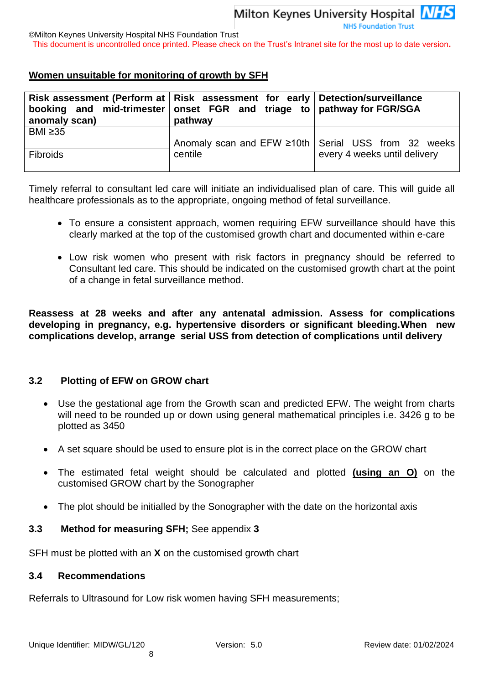©Milton Keynes University Hospital NHS Foundation Trust

This document is uncontrolled once printed. Please check on the Trust's Intranet site for the most up to date version**.**

## **Women unsuitable for monitoring of growth by SFH**

| anomaly scan)   | Risk assessment (Perform at   Risk assessment for early   Detection/surveillance<br>booking and mid-trimester onset FGR and triage to pathway for FGR/SGA<br>pathway |                                                       |
|-----------------|----------------------------------------------------------------------------------------------------------------------------------------------------------------------|-------------------------------------------------------|
| BMI $\geq$ 35   |                                                                                                                                                                      | Anomaly scan and EFW ≥10th   Serial USS from 32 weeks |
| <b>Fibroids</b> | centile                                                                                                                                                              | every 4 weeks until delivery                          |

Timely referral to consultant led care will initiate an individualised plan of care. This will guide all healthcare professionals as to the appropriate, ongoing method of fetal surveillance.

- To ensure a consistent approach, women requiring EFW surveillance should have this clearly marked at the top of the customised growth chart and documented within e-care
- Low risk women who present with risk factors in pregnancy should be referred to Consultant led care. This should be indicated on the customised growth chart at the point of a change in fetal surveillance method.

**Reassess at 28 weeks and after any antenatal admission. Assess for complications developing in pregnancy, e.g. hypertensive disorders or significant bleeding.When new complications develop, arrange serial USS from detection of complications until delivery**

### <span id="page-7-0"></span>**3.2 Plotting of EFW on GROW chart**

- Use the gestational age from the Growth scan and predicted EFW. The weight from charts will need to be rounded up or down using general mathematical principles i.e. 3426 g to be plotted as 3450
- A set square should be used to ensure plot is in the correct place on the GROW chart
- The estimated fetal weight should be calculated and plotted **(using an O)** on the customised GROW chart by the Sonographer
- The plot should be initialled by the Sonographer with the date on the horizontal axis

### <span id="page-7-1"></span>**3.3 Method for measuring SFH;** See appendix **3**

8

SFH must be plotted with an **X** on the customised growth chart

#### <span id="page-7-2"></span>**3.4 Recommendations**

Referrals to Ultrasound for Low risk women having SFH measurements;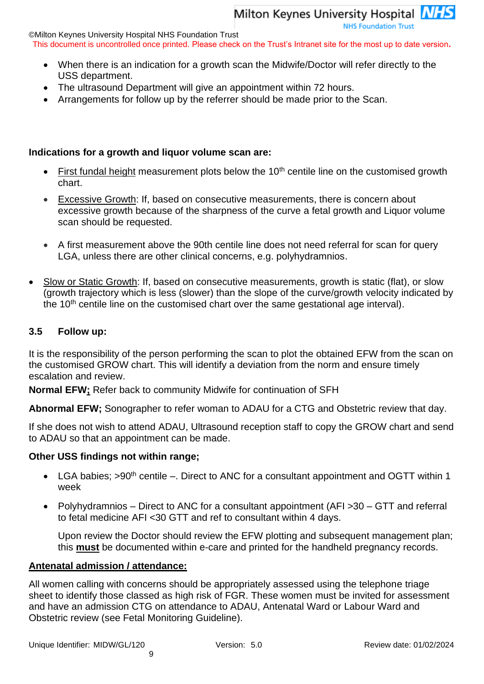©Milton Keynes University Hospital NHS Foundation Trust

This document is uncontrolled once printed. Please check on the Trust's Intranet site for the most up to date version**.**

- When there is an indication for a growth scan the Midwife/Doctor will refer directly to the USS department.
- The ultrasound Department will give an appointment within 72 hours.
- Arrangements for follow up by the referrer should be made prior to the Scan.

### **Indications for a growth and liquor volume scan are:**

- $F$  First fundal height measurement plots below the 10<sup>th</sup> centile line on the customised growth chart.
- Excessive Growth: If, based on consecutive measurements, there is concern about excessive growth because of the sharpness of the curve a fetal growth and Liquor volume scan should be requested.
- A first measurement above the 90th centile line does not need referral for scan for query LGA, unless there are other clinical concerns, e.g. polyhydramnios.
- Slow or Static Growth: If, based on consecutive measurements, growth is static (flat), or slow (growth trajectory which is less (slower) than the slope of the curve/growth velocity indicated by the  $10<sup>th</sup>$  centile line on the customised chart over the same gestational age interval).

### <span id="page-8-0"></span>**3.5 Follow up:**

It is the responsibility of the person performing the scan to plot the obtained EFW from the scan on the customised GROW chart. This will identify a deviation from the norm and ensure timely escalation and review.

**Normal EFW;** Refer back to community Midwife for continuation of SFH

**Abnormal EFW;** Sonographer to refer woman to ADAU for a CTG and Obstetric review that day.

If she does not wish to attend ADAU, Ultrasound reception staff to copy the GROW chart and send to ADAU so that an appointment can be made.

### **Other USS findings not within range;**

- LGA babies;  $>90<sup>th</sup>$  centile –. Direct to ANC for a consultant appointment and OGTT within 1 week
- Polyhydramnios Direct to ANC for a consultant appointment (AFI > 30 GTT and referral to fetal medicine AFI <30 GTT and ref to consultant within 4 days.

Upon review the Doctor should review the EFW plotting and subsequent management plan; this **must** be documented within e-care and printed for the handheld pregnancy records.

### **Antenatal admission / attendance:**

All women calling with concerns should be appropriately assessed using the telephone triage sheet to identify those classed as high risk of FGR. These women must be invited for assessment and have an admission CTG on attendance to ADAU, Antenatal Ward or Labour Ward and Obstetric review (see Fetal Monitoring Guideline).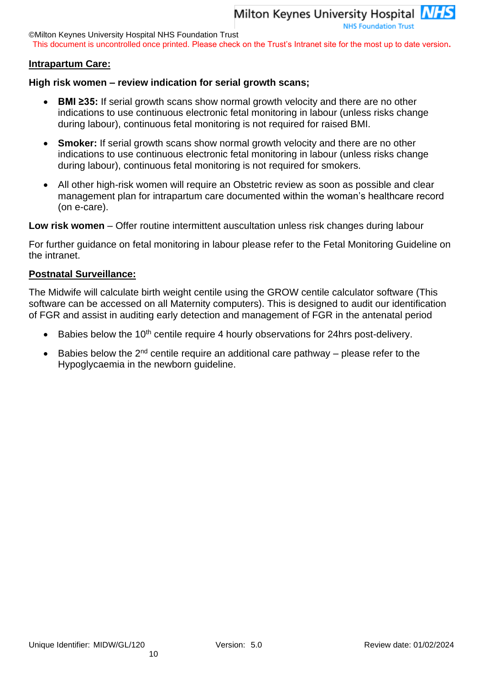©Milton Keynes University Hospital NHS Foundation Trust

This document is uncontrolled once printed. Please check on the Trust's Intranet site for the most up to date version**.**

#### **Intrapartum Care:**

#### **High risk women – review indication for serial growth scans;**

- **BMI ≥35:** If serial growth scans show normal growth velocity and there are no other indications to use continuous electronic fetal monitoring in labour (unless risks change during labour), continuous fetal monitoring is not required for raised BMI.
- **Smoker:** If serial growth scans show normal growth velocity and there are no other indications to use continuous electronic fetal monitoring in labour (unless risks change during labour), continuous fetal monitoring is not required for smokers.
- All other high-risk women will require an Obstetric review as soon as possible and clear management plan for intrapartum care documented within the woman's healthcare record (on e-care).

**Low risk women** – Offer routine intermittent auscultation unless risk changes during labour

For further guidance on fetal monitoring in labour please refer to the Fetal Monitoring Guideline on the intranet.

#### **Postnatal Surveillance:**

The Midwife will calculate birth weight centile using the GROW centile calculator software (This software can be accessed on all Maternity computers). This is designed to audit our identification of FGR and assist in auditing early detection and management of FGR in the antenatal period

- $\bullet$  Babies below the 10<sup>th</sup> centile require 4 hourly observations for 24hrs post-delivery.
- Babies below the  $2<sup>nd</sup>$  centile require an additional care pathway please refer to the Hypoglycaemia in the newborn guideline.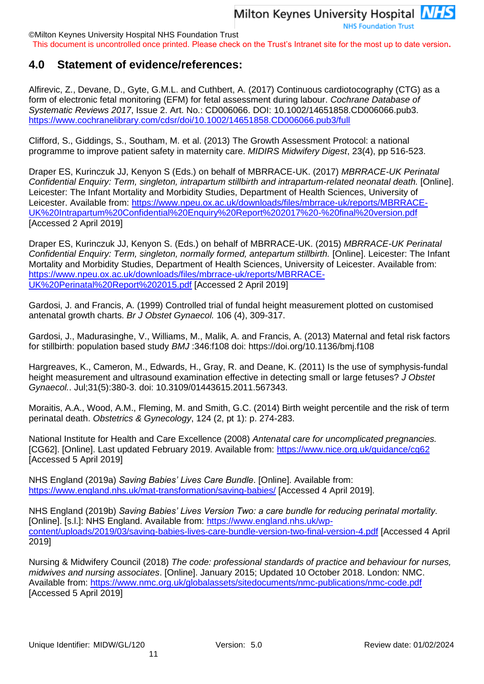This document is uncontrolled once printed. Please check on the Trust's Intranet site for the most up to date version**.**

## <span id="page-10-0"></span>**4.0 Statement of evidence/references:**

Alfirevic, Z., Devane, D., Gyte, G.M.L. and Cuthbert, A. (2017) Continuous cardiotocography (CTG) as a form of electronic fetal monitoring (EFM) for fetal assessment during labour. *Cochrane Database of Systematic Reviews 2017*, Issue 2. Art. No.: CD006066. DOI: 10.1002/14651858.CD006066.pub3. <https://www.cochranelibrary.com/cdsr/doi/10.1002/14651858.CD006066.pub3/full>

Clifford, S., Giddings, S., Southam, M. et al. (2013) The Growth Assessment Protocol: a national programme to improve patient safety in maternity care. *MIDIRS Midwifery Digest*, 23(4), pp 516-523.

Draper ES, Kurinczuk JJ, Kenyon S (Eds.) on behalf of MBRRACE-UK. (2017) *MBRRACE-UK Perinatal Confidential Enquiry: Term, singleton, intrapartum stillbirth and intrapartum-related neonatal death.* [Online]. Leicester: The Infant Mortality and Morbidity Studies, Department of Health Sciences, University of Leicester. Available from: [https://www.npeu.ox.ac.uk/downloads/files/mbrrace-uk/reports/MBRRACE-](https://www.npeu.ox.ac.uk/downloads/files/mbrrace-uk/reports/MBRRACE-UK%20Intrapartum%20Confidential%20Enquiry%20Report%202017%20-%20final%20version.pdf)[UK%20Intrapartum%20Confidential%20Enquiry%20Report%202017%20-%20final%20version.pdf](https://www.npeu.ox.ac.uk/downloads/files/mbrrace-uk/reports/MBRRACE-UK%20Intrapartum%20Confidential%20Enquiry%20Report%202017%20-%20final%20version.pdf) [Accessed 2 April 2019]

Draper ES, Kurinczuk JJ, Kenyon S. (Eds.) on behalf of MBRRACE-UK. (2015) *MBRRACE-UK Perinatal Confidential Enquiry: Term, singleton, normally formed, antepartum stillbirth.* [Online]. Leicester: The Infant Mortality and Morbidity Studies, Department of Health Sciences, University of Leicester. Available from: [https://www.npeu.ox.ac.uk/downloads/files/mbrrace-uk/reports/MBRRACE-](https://www.npeu.ox.ac.uk/downloads/files/mbrrace-uk/reports/MBRRACE-UK%20Perinatal%20Report%202015.pdf)[UK%20Perinatal%20Report%202015.pdf](https://www.npeu.ox.ac.uk/downloads/files/mbrrace-uk/reports/MBRRACE-UK%20Perinatal%20Report%202015.pdf) [Accessed 2 April 2019]

Gardosi, J. and Francis, A. (1999) Controlled trial of fundal height measurement plotted on customised antenatal growth charts. *Br J Obstet Gynaecol.* 106 (4), 309-317.

Gardosi, J., Madurasinghe, V., Williams, M., Malik, A. and Francis, A. (2013) Maternal and fetal risk factors for stillbirth: population based study *BMJ* :346:f108 doi: https://doi.org/10.1136/bmj.f108

Hargreaves, K., Cameron, M., Edwards, H., Gray, R. and Deane, K. (2011) Is the use of symphysis-fundal height measurement and ultrasound examination effective in detecting small or large fetuses? *J Obstet Gynaecol.*. Jul;31(5):380-3. doi: 10.3109/01443615.2011.567343.

Moraitis, A.A., Wood, A.M., Fleming, M. and Smith, G.C. (2014) Birth weight percentile and the risk of term perinatal death. *Obstetrics & Gynecology*, 124 (2, pt 1): p. 274-283.

National Institute for Health and Care Excellence (2008) *Antenatal care for uncomplicated pregnancies.* [CG62]. [Online]. Last updated February 2019. Available from:<https://www.nice.org.uk/guidance/cg62> [Accessed 5 April 2019]

NHS England (2019a) *Saving Babies' Lives Care Bundle*. [Online]. Available from: <https://www.england.nhs.uk/mat-transformation/saving-babies/> [Accessed 4 April 2019].

NHS England (2019b) *Saving Babies' Lives Version Two: a care bundle for reducing perinatal mortality.* [Online]. [s.l.]: NHS England. Available from: [https://www.england.nhs.uk/wp](https://www.england.nhs.uk/wp-content/uploads/2019/03/saving-babies-lives-care-bundle-version-two-final-version-4.pdf)[content/uploads/2019/03/saving-babies-lives-care-bundle-version-two-final-version-4.pdf](https://www.england.nhs.uk/wp-content/uploads/2019/03/saving-babies-lives-care-bundle-version-two-final-version-4.pdf) [Accessed 4 April 2019]

Nursing & Midwifery Council (2018) *The code: professional standards of practice and behaviour for nurses, midwives and nursing associates*. [Online]. January 2015; Updated 10 October 2018. London: NMC. Available from:<https://www.nmc.org.uk/globalassets/sitedocuments/nmc-publications/nmc-code.pdf> [Accessed 5 April 2019]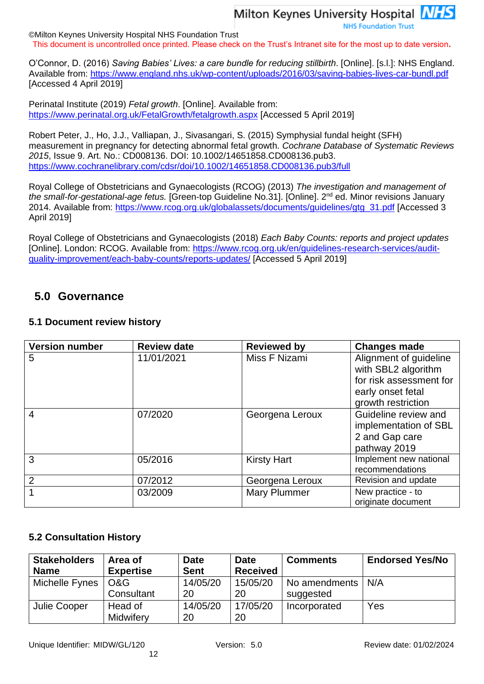**NHS Foundation Trust** 

©Milton Keynes University Hospital NHS Foundation Trust This document is uncontrolled once printed. Please check on the Trust's Intranet site for the most up to date version**.**

O'Connor, D. (2016) *Saving Babies' Lives: a care bundle for reducing stillbirth*. [Online]. [s.l.]: NHS England. Available from:<https://www.england.nhs.uk/wp-content/uploads/2016/03/saving-babies-lives-car-bundl.pdf> [Accessed 4 April 2019]

Perinatal Institute (2019) *Fetal growth*. [Online]. Available from: <https://www.perinatal.org.uk/FetalGrowth/fetalgrowth.aspx> [Accessed 5 April 2019]

Robert Peter, J., Ho, J.J., Valliapan, J., Sivasangari, S. (2015) Symphysial fundal height (SFH) measurement in pregnancy for detecting abnormal fetal growth. *Cochrane Database of Systematic Reviews 2015*, Issue 9. Art. No.: CD008136. DOI: 10.1002/14651858.CD008136.pub3. <https://www.cochranelibrary.com/cdsr/doi/10.1002/14651858.CD008136.pub3/full>

Royal College of Obstetricians and Gynaecologists (RCOG) (2013) *The investigation and management of the small-for-gestational-age fetus.* [Green-top Guideline No.31]. [Online]. 2<sup>nd</sup> ed. Minor revisions January 2014. Available from: [https://www.rcog.org.uk/globalassets/documents/guidelines/gtg\\_31.pdf](https://www.rcog.org.uk/globalassets/documents/guidelines/gtg_31.pdf) [Accessed 3 April 2019]

Royal College of Obstetricians and Gynaecologists (2018) *Each Baby Counts: reports and project updates*  [Online]. London: RCOG. Available from: [https://www.rcog.org.uk/en/guidelines-research-services/audit](https://www.rcog.org.uk/en/guidelines-research-services/audit-quality-improvement/each-baby-counts/reports-updates/)[quality-improvement/each-baby-counts/reports-updates/](https://www.rcog.org.uk/en/guidelines-research-services/audit-quality-improvement/each-baby-counts/reports-updates/) [Accessed 5 April 2019]

## <span id="page-11-0"></span>**5.0 Governance**

### <span id="page-11-1"></span>**5.1 Document review history**

| <b>Version number</b> | <b>Review date</b> | <b>Reviewed by</b> | <b>Changes made</b>                           |
|-----------------------|--------------------|--------------------|-----------------------------------------------|
| 5                     | 11/01/2021         | Miss F Nizami      | Alignment of guideline<br>with SBL2 algorithm |
|                       |                    |                    | for risk assessment for                       |
|                       |                    |                    | early onset fetal                             |
|                       |                    |                    | growth restriction                            |
| $\overline{4}$        | 07/2020            | Georgena Leroux    | Guideline review and                          |
|                       |                    |                    | implementation of SBL                         |
|                       |                    |                    | 2 and Gap care                                |
|                       |                    |                    | pathway 2019                                  |
| 3                     | 05/2016            | <b>Kirsty Hart</b> | Implement new national                        |
|                       |                    |                    | recommendations                               |
| $\overline{2}$        | 07/2012            | Georgena Leroux    | Revision and update                           |
|                       | 03/2009            | Mary Plummer       | New practice - to                             |
|                       |                    |                    | originate document                            |

### <span id="page-11-2"></span>**5.2 Consultation History**

| <b>Stakeholders</b><br><b>Name</b> | Area of<br><b>Expertise</b> | <b>Date</b><br><b>Sent</b> | <b>Date</b><br><b>Received</b> | <b>Comments</b>            | <b>Endorsed Yes/No</b> |
|------------------------------------|-----------------------------|----------------------------|--------------------------------|----------------------------|------------------------|
| Michelle Fynes                     | O&G<br>Consultant           | 14/05/20<br>20             | 15/05/20<br>20                 | No amendments<br>suggested | N/A                    |
| Julie Cooper                       | Head of<br>Midwifery        | 14/05/20<br>20             | 17/05/20<br>20                 | Incorporated               | Yes                    |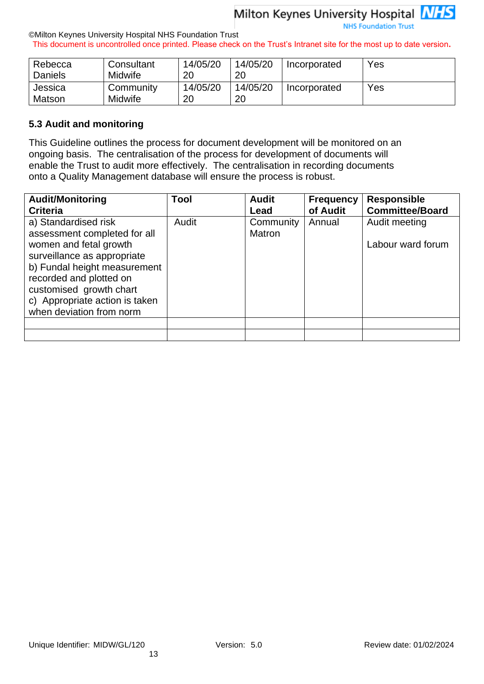**NHS Foundation Trust** 

#### ©Milton Keynes University Hospital NHS Foundation Trust This document is uncontrolled once printed. Please check on the Trust's Intranet site for the most up to date version**.**

| Rebecca        | Consultant     | 14/05/20 | 14/05/20 | Incorporated | Yes |
|----------------|----------------|----------|----------|--------------|-----|
| <b>Daniels</b> | <b>Midwife</b> | 20       | 20       |              |     |
| Jessica        | Community      | 14/05/20 | 14/05/20 | Incorporated | Yes |
| Matson         | Midwife        | 20       | 20       |              |     |

#### <span id="page-12-0"></span>**5.3 Audit and monitoring**

This Guideline outlines the process for document development will be monitored on an ongoing basis. The centralisation of the process for development of documents will enable the Trust to audit more effectively. The centralisation in recording documents onto a Quality Management database will ensure the process is robust.

| <b>Audit/Monitoring</b><br><b>Criteria</b>                                                                                                                                                                                                                        | Tool  | <b>Audit</b><br>Lead | <b>Frequency</b><br>of Audit | <b>Responsible</b><br><b>Committee/Board</b> |
|-------------------------------------------------------------------------------------------------------------------------------------------------------------------------------------------------------------------------------------------------------------------|-------|----------------------|------------------------------|----------------------------------------------|
| a) Standardised risk<br>assessment completed for all<br>women and fetal growth<br>surveillance as appropriate<br>b) Fundal height measurement<br>recorded and plotted on<br>customised growth chart<br>c) Appropriate action is taken<br>when deviation from norm | Audit | Community<br>Matron  | Annual                       | Audit meeting<br>Labour ward forum           |
|                                                                                                                                                                                                                                                                   |       |                      |                              |                                              |
|                                                                                                                                                                                                                                                                   |       |                      |                              |                                              |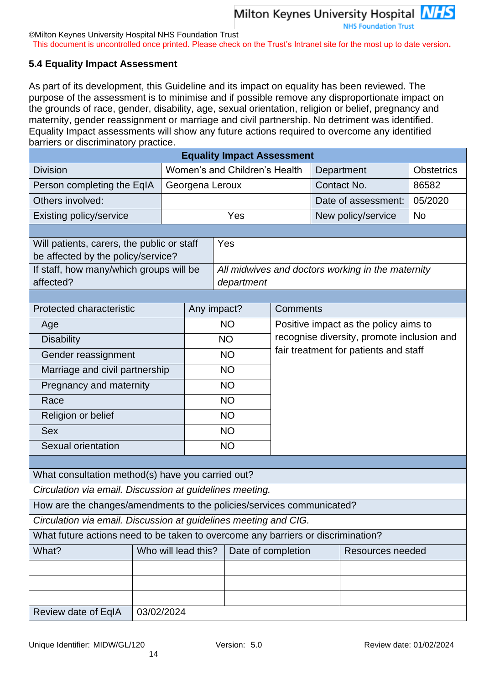This document is uncontrolled once printed. Please check on the Trust's Intranet site for the most up to date version**.**

## <span id="page-13-0"></span>**5.4 Equality Impact Assessment**

As part of its development, this Guideline and its impact on equality has been reviewed. The purpose of the assessment is to minimise and if possible remove any disproportionate impact on the grounds of race, gender, disability, age, sexual orientation, religion or belief, pregnancy and maternity, gender reassignment or marriage and civil partnership. No detriment was identified. Equality Impact assessments will show any future actions required to overcome any identified barriers or discriminatory practice.

| <b>Equality Impact Assessment</b>                                                                                |            |                               |             |                    |            |          |                                       |                                                   |                   |
|------------------------------------------------------------------------------------------------------------------|------------|-------------------------------|-------------|--------------------|------------|----------|---------------------------------------|---------------------------------------------------|-------------------|
| <b>Division</b>                                                                                                  |            | Women's and Children's Health |             |                    |            |          |                                       | Department                                        | <b>Obstetrics</b> |
| Person completing the EqIA                                                                                       |            | Georgena Leroux               |             |                    |            |          |                                       | Contact No.                                       | 86582             |
| Others involved:                                                                                                 |            |                               |             |                    |            |          |                                       | Date of assessment:                               | 05/2020           |
| Existing policy/service                                                                                          |            |                               |             |                    | Yes        |          |                                       | New policy/service                                | <b>No</b>         |
|                                                                                                                  |            |                               |             |                    |            |          |                                       |                                                   |                   |
| Will patients, carers, the public or staff                                                                       |            |                               |             |                    | Yes        |          |                                       |                                                   |                   |
| be affected by the policy/service?                                                                               |            |                               |             |                    |            |          |                                       |                                                   |                   |
| If staff, how many/which groups will be                                                                          |            |                               |             |                    |            |          |                                       | All midwives and doctors working in the maternity |                   |
| affected?                                                                                                        |            |                               |             |                    | department |          |                                       |                                                   |                   |
| Protected characteristic                                                                                         |            |                               | Any impact? |                    |            | Comments |                                       |                                                   |                   |
| Age                                                                                                              |            |                               |             |                    | <b>NO</b>  |          |                                       | Positive impact as the policy aims to             |                   |
| <b>Disability</b>                                                                                                |            |                               |             |                    | <b>NO</b>  |          |                                       | recognise diversity, promote inclusion and        |                   |
| Gender reassignment                                                                                              |            |                               | <b>NO</b>   |                    |            |          | fair treatment for patients and staff |                                                   |                   |
| Marriage and civil partnership                                                                                   |            |                               | <b>NO</b>   |                    |            |          |                                       |                                                   |                   |
| Pregnancy and maternity                                                                                          |            |                               |             |                    | <b>NO</b>  |          |                                       |                                                   |                   |
| Race                                                                                                             |            |                               | <b>NO</b>   |                    |            |          |                                       |                                                   |                   |
| Religion or belief                                                                                               |            |                               | <b>NO</b>   |                    |            |          |                                       |                                                   |                   |
| <b>Sex</b>                                                                                                       |            |                               | <b>NO</b>   |                    |            |          |                                       |                                                   |                   |
| Sexual orientation                                                                                               |            |                               | <b>NO</b>   |                    |            |          |                                       |                                                   |                   |
|                                                                                                                  |            |                               |             |                    |            |          |                                       |                                                   |                   |
| What consultation method(s) have you carried out?                                                                |            |                               |             |                    |            |          |                                       |                                                   |                   |
| Circulation via email. Discussion at guidelines meeting.                                                         |            |                               |             |                    |            |          |                                       |                                                   |                   |
| How are the changes/amendments to the policies/services communicated?                                            |            |                               |             |                    |            |          |                                       |                                                   |                   |
| Circulation via email. Discussion at guidelines meeting and CIG.                                                 |            |                               |             |                    |            |          |                                       |                                                   |                   |
|                                                                                                                  |            |                               |             |                    |            |          |                                       |                                                   |                   |
| What future actions need to be taken to overcome any barriers or discrimination?<br>Who will lead this?<br>What? |            |                               |             | Date of completion |            |          | Resources needed                      |                                                   |                   |
|                                                                                                                  |            |                               |             |                    |            |          |                                       |                                                   |                   |
|                                                                                                                  |            |                               |             |                    |            |          |                                       |                                                   |                   |
|                                                                                                                  |            |                               |             |                    |            |          |                                       |                                                   |                   |
| Review date of EqIA                                                                                              | 03/02/2024 |                               |             |                    |            |          |                                       |                                                   |                   |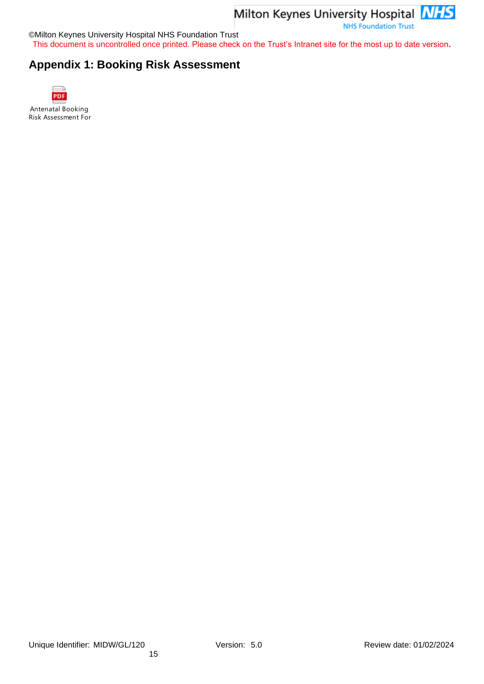**NHS Foundation Trust** 

©Milton Keynes University Hospital NHS Foundation Trust

This document is uncontrolled once printed. Please check on the Trust's Intranet site for the most up to date version**.**

## <span id="page-14-0"></span>**Appendix 1: Booking Risk Assessment**



Antenatal Booking Risk Assessment For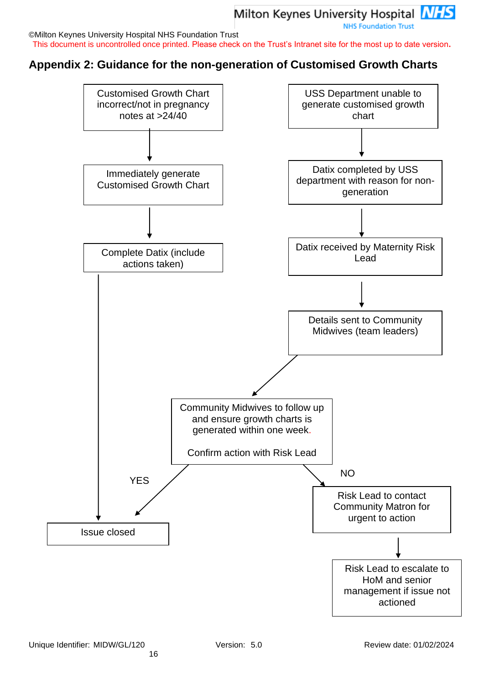This document is uncontrolled once printed. Please check on the Trust's Intranet site for the most up to date version**.**

## <span id="page-15-0"></span>**Appendix 2: Guidance for the non-generation of Customised Growth Charts**

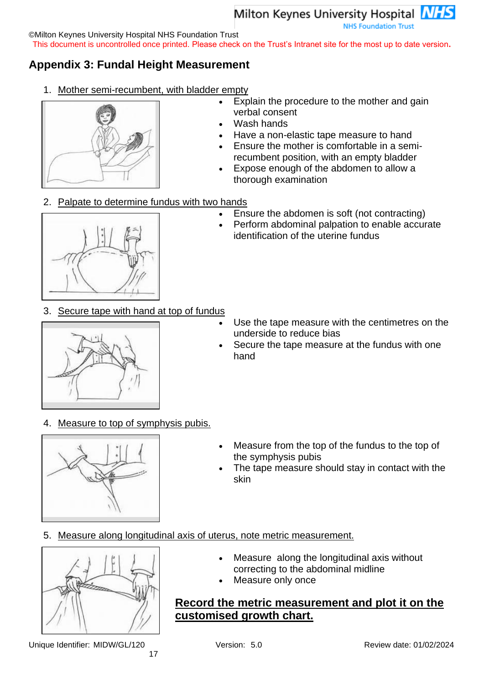**NHS Foundation Trust** 

©Milton Keynes University Hospital NHS Foundation Trust

This document is uncontrolled once printed. Please check on the Trust's Intranet site for the most up to date version**.**

## <span id="page-16-0"></span>**Appendix 3: Fundal Height Measurement**

1. Mother semi-recumbent, with bladder empty



- Explain the procedure to the mother and gain verbal consent
- Wash hands
- Have a non-elastic tape measure to hand
- Ensure the mother is comfortable in a semirecumbent position, with an empty bladder
- Expose enough of the abdomen to allow a thorough examination
- 2. Palpate to determine fundus with two hands
	- Ensure the abdomen is soft (not contracting)

identification of the uterine fundus

• Perform abdominal palpation to enable accurate

- 
- 3. Secure tape with hand at top of fundus



- Use the tape measure with the centimetres on the underside to reduce bias
- Secure the tape measure at the fundus with one hand
- 4. Measure to top of symphysis pubis.



- Measure from the top of the fundus to the top of the symphysis pubis
- The tape measure should stay in contact with the skin

### 5. Measure along longitudinal axis of uterus, note metric measurement.



Unique Identifier: MIDW/GL/120 Version: 5.0 Review date: 01/02/2024

- Measure along the longitudinal axis without correcting to the abdominal midline
- Measure only once

## **Record the metric measurement and plot it on the customised growth chart.**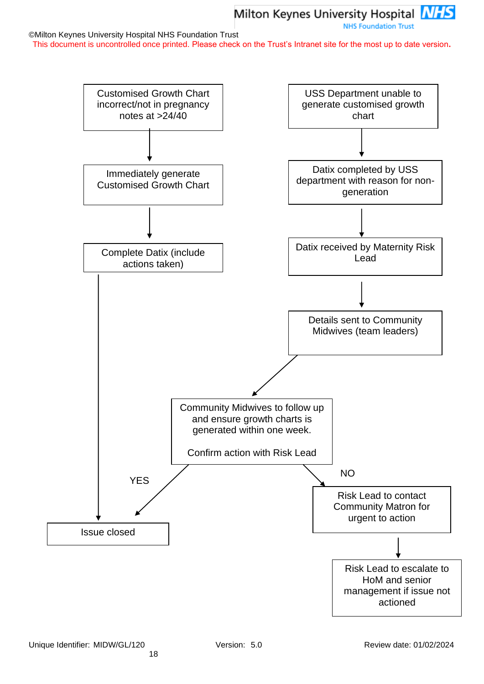This document is uncontrolled once printed. Please check on the Trust's Intranet site for the most up to date version**.**